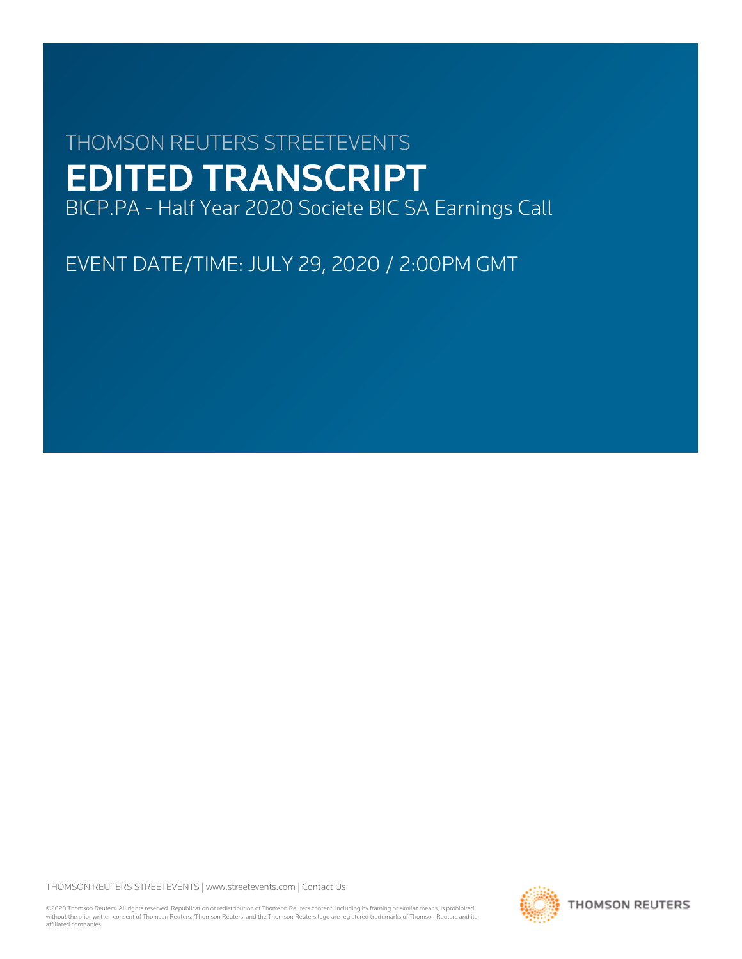# THOMSON REUTERS STREETEVENTS EDITED TRANSCRIPT BICP.PA - Half Year 2020 Societe BIC SA Earnings Call

EVENT DATE/TIME: JULY 29, 2020 / 2:00PM GMT

THOMSON REUTERS STREETEVENTS | [www.streetevents.com](http://www.streetevents.com) | [Contact Us](http://www010.streetevents.com/contact.asp)

©2020 Thomson Reuters. All rights reserved. Republication or redistribution of Thomson Reuters content, including by framing or similar means, is prohibited without the prior written consent of Thomson Reuters. 'Thomson Reuters' and the Thomson Reuters logo are registered trademarks of Thomson Reuters and its affiliated companies.

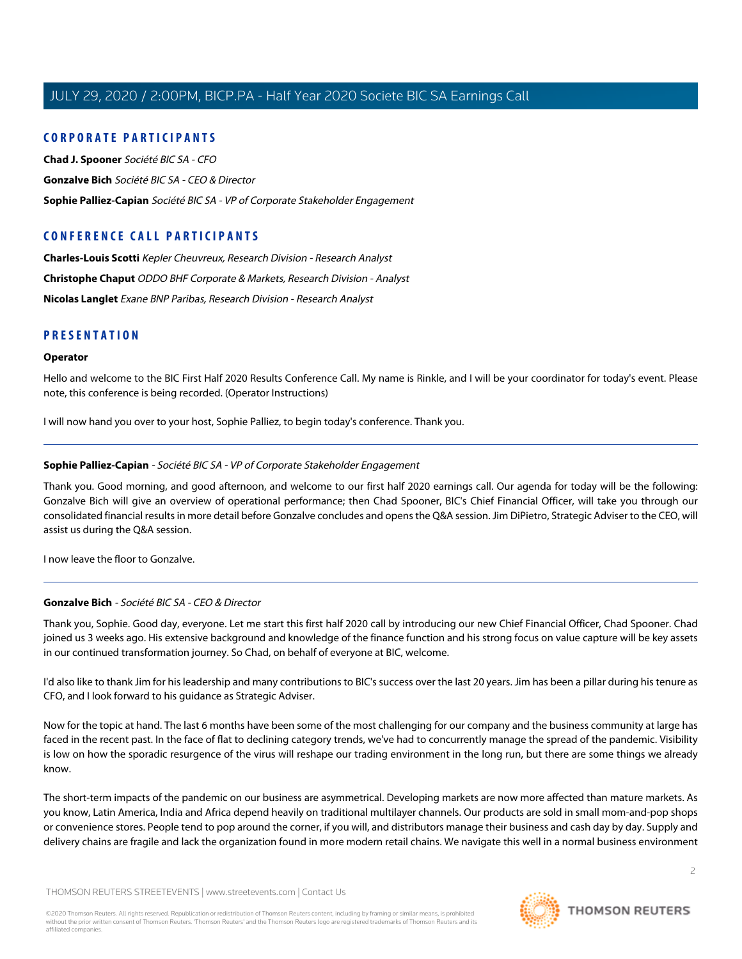#### **CORPORATE PARTICIPANTS**

**[Chad J. Spooner](#page-4-0)** Société BIC SA - CFO **[Gonzalve Bich](#page-1-0)** Société BIC SA - CEO & Director **[Sophie Palliez-Capian](#page-1-1)** Société BIC SA - VP of Corporate Stakeholder Engagement

## **CONFERENCE CALL PARTICIPANTS**

**[Charles-Louis Scotti](#page-8-0)** Kepler Cheuvreux, Research Division - Research Analyst **[Christophe Chaput](#page-9-0)** ODDO BHF Corporate & Markets, Research Division - Analyst **[Nicolas Langlet](#page-6-0)** Exane BNP Paribas, Research Division - Research Analyst

#### **PRESENTATION**

#### **Operator**

Hello and welcome to the BIC First Half 2020 Results Conference Call. My name is Rinkle, and I will be your coordinator for today's event. Please note, this conference is being recorded. (Operator Instructions)

<span id="page-1-1"></span>I will now hand you over to your host, Sophie Palliez, to begin today's conference. Thank you.

#### **Sophie Palliez-Capian** - Société BIC SA - VP of Corporate Stakeholder Engagement

Thank you. Good morning, and good afternoon, and welcome to our first half 2020 earnings call. Our agenda for today will be the following: Gonzalve Bich will give an overview of operational performance; then Chad Spooner, BIC's Chief Financial Officer, will take you through our consolidated financial results in more detail before Gonzalve concludes and opens the Q&A session. Jim DiPietro, Strategic Adviser to the CEO, will assist us during the Q&A session.

<span id="page-1-0"></span>I now leave the floor to Gonzalve.

#### **Gonzalve Bich** - Société BIC SA - CEO & Director

Thank you, Sophie. Good day, everyone. Let me start this first half 2020 call by introducing our new Chief Financial Officer, Chad Spooner. Chad joined us 3 weeks ago. His extensive background and knowledge of the finance function and his strong focus on value capture will be key assets in our continued transformation journey. So Chad, on behalf of everyone at BIC, welcome.

I'd also like to thank Jim for his leadership and many contributions to BIC's success over the last 20 years. Jim has been a pillar during his tenure as CFO, and I look forward to his guidance as Strategic Adviser.

Now for the topic at hand. The last 6 months have been some of the most challenging for our company and the business community at large has faced in the recent past. In the face of flat to declining category trends, we've had to concurrently manage the spread of the pandemic. Visibility is low on how the sporadic resurgence of the virus will reshape our trading environment in the long run, but there are some things we already know.

The short-term impacts of the pandemic on our business are asymmetrical. Developing markets are now more affected than mature markets. As you know, Latin America, India and Africa depend heavily on traditional multilayer channels. Our products are sold in small mom-and-pop shops or convenience stores. People tend to pop around the corner, if you will, and distributors manage their business and cash day by day. Supply and delivery chains are fragile and lack the organization found in more modern retail chains. We navigate this well in a normal business environment

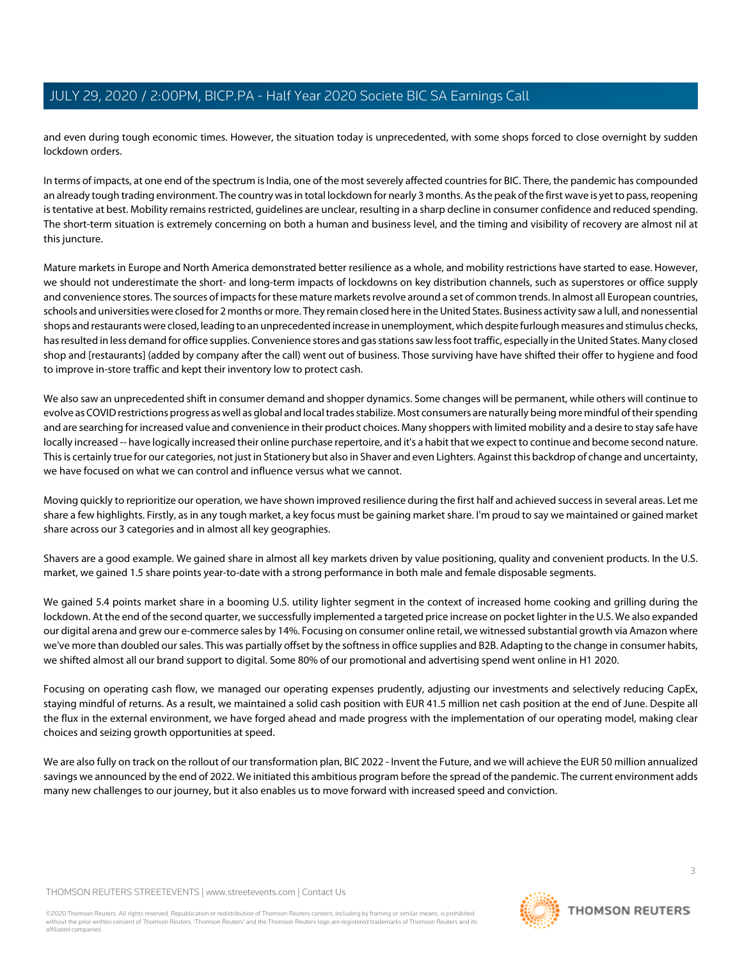and even during tough economic times. However, the situation today is unprecedented, with some shops forced to close overnight by sudden lockdown orders.

In terms of impacts, at one end of the spectrum is India, one of the most severely affected countries for BIC. There, the pandemic has compounded an already tough trading environment. The country was in total lockdown for nearly 3 months. As the peak of the first wave is yet to pass, reopening is tentative at best. Mobility remains restricted, guidelines are unclear, resulting in a sharp decline in consumer confidence and reduced spending. The short-term situation is extremely concerning on both a human and business level, and the timing and visibility of recovery are almost nil at this juncture.

Mature markets in Europe and North America demonstrated better resilience as a whole, and mobility restrictions have started to ease. However, we should not underestimate the short- and long-term impacts of lockdowns on key distribution channels, such as superstores or office supply and convenience stores. The sources of impacts for these mature markets revolve around a set of common trends. In almost all European countries, schools and universities were closed for 2 months or more. They remain closed here in the United States. Business activity saw a lull, and nonessential shops and restaurants were closed, leading to an unprecedented increase in unemployment, which despite furlough measures and stimulus checks, has resulted in less demand for office supplies. Convenience stores and gas stations saw less foot traffic, especially in the United States. Many closed shop and [restaurants] (added by company after the call) went out of business. Those surviving have have shifted their offer to hygiene and food to improve in-store traffic and kept their inventory low to protect cash.

We also saw an unprecedented shift in consumer demand and shopper dynamics. Some changes will be permanent, while others will continue to evolve as COVID restrictions progress as well as global and local trades stabilize. Most consumers are naturally being more mindful of their spending and are searching for increased value and convenience in their product choices. Many shoppers with limited mobility and a desire to stay safe have locally increased -- have logically increased their online purchase repertoire, and it's a habit that we expect to continue and become second nature. This is certainly true for our categories, not just in Stationery but also in Shaver and even Lighters. Against this backdrop of change and uncertainty, we have focused on what we can control and influence versus what we cannot.

Moving quickly to reprioritize our operation, we have shown improved resilience during the first half and achieved success in several areas. Let me share a few highlights. Firstly, as in any tough market, a key focus must be gaining market share. I'm proud to say we maintained or gained market share across our 3 categories and in almost all key geographies.

Shavers are a good example. We gained share in almost all key markets driven by value positioning, quality and convenient products. In the U.S. market, we gained 1.5 share points year-to-date with a strong performance in both male and female disposable segments.

We gained 5.4 points market share in a booming U.S. utility lighter segment in the context of increased home cooking and grilling during the lockdown. At the end of the second quarter, we successfully implemented a targeted price increase on pocket lighter in the U.S. We also expanded our digital arena and grew our e-commerce sales by 14%. Focusing on consumer online retail, we witnessed substantial growth via Amazon where we've more than doubled our sales. This was partially offset by the softness in office supplies and B2B. Adapting to the change in consumer habits, we shifted almost all our brand support to digital. Some 80% of our promotional and advertising spend went online in H1 2020.

Focusing on operating cash flow, we managed our operating expenses prudently, adjusting our investments and selectively reducing CapEx, staying mindful of returns. As a result, we maintained a solid cash position with EUR 41.5 million net cash position at the end of June. Despite all the flux in the external environment, we have forged ahead and made progress with the implementation of our operating model, making clear choices and seizing growth opportunities at speed.

We are also fully on track on the rollout of our transformation plan, BIC 2022 - Invent the Future, and we will achieve the EUR 50 million annualized savings we announced by the end of 2022. We initiated this ambitious program before the spread of the pandemic. The current environment adds many new challenges to our journey, but it also enables us to move forward with increased speed and conviction.

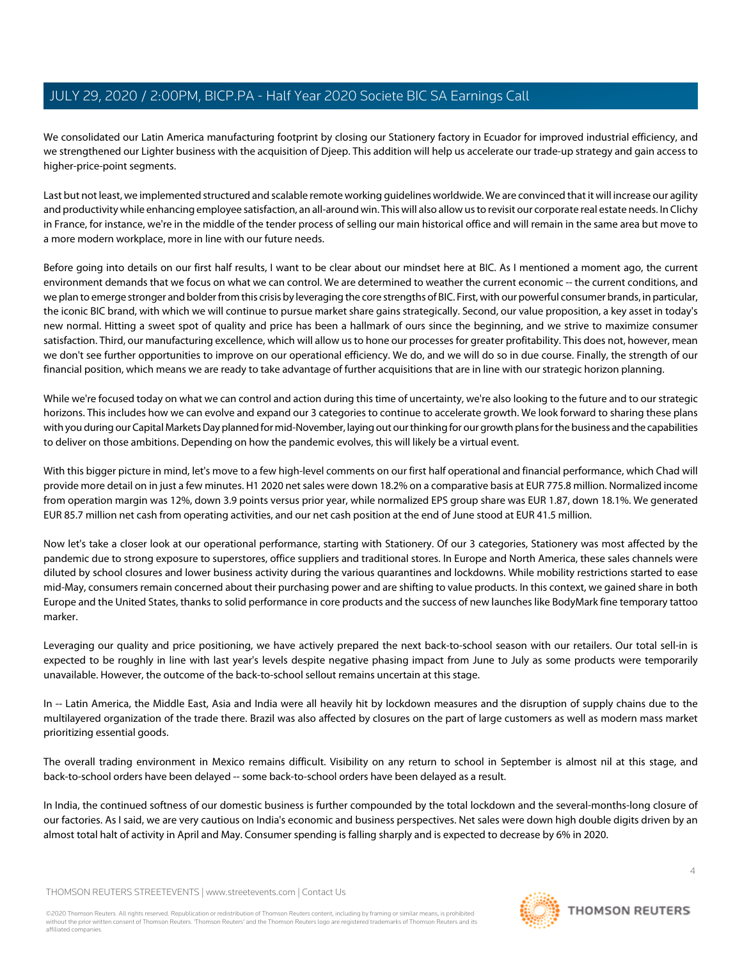We consolidated our Latin America manufacturing footprint by closing our Stationery factory in Ecuador for improved industrial efficiency, and we strengthened our Lighter business with the acquisition of Djeep. This addition will help us accelerate our trade-up strategy and gain access to higher-price-point segments.

Last but not least, we implemented structured and scalable remote working guidelines worldwide. We are convinced that it will increase our agility and productivity while enhancing employee satisfaction, an all-around win. This will also allow us to revisit our corporate real estate needs. In Clichy in France, for instance, we're in the middle of the tender process of selling our main historical office and will remain in the same area but move to a more modern workplace, more in line with our future needs.

Before going into details on our first half results, I want to be clear about our mindset here at BIC. As I mentioned a moment ago, the current environment demands that we focus on what we can control. We are determined to weather the current economic -- the current conditions, and we plan to emerge stronger and bolder from this crisis by leveraging the core strengths of BIC. First, with our powerful consumer brands, in particular, the iconic BIC brand, with which we will continue to pursue market share gains strategically. Second, our value proposition, a key asset in today's new normal. Hitting a sweet spot of quality and price has been a hallmark of ours since the beginning, and we strive to maximize consumer satisfaction. Third, our manufacturing excellence, which will allow us to hone our processes for greater profitability. This does not, however, mean we don't see further opportunities to improve on our operational efficiency. We do, and we will do so in due course. Finally, the strength of our financial position, which means we are ready to take advantage of further acquisitions that are in line with our strategic horizon planning.

While we're focused today on what we can control and action during this time of uncertainty, we're also looking to the future and to our strategic horizons. This includes how we can evolve and expand our 3 categories to continue to accelerate growth. We look forward to sharing these plans with you during our Capital Markets Day planned for mid-November, laying out our thinking for our growth plans for the business and the capabilities to deliver on those ambitions. Depending on how the pandemic evolves, this will likely be a virtual event.

With this bigger picture in mind, let's move to a few high-level comments on our first half operational and financial performance, which Chad will provide more detail on in just a few minutes. H1 2020 net sales were down 18.2% on a comparative basis at EUR 775.8 million. Normalized income from operation margin was 12%, down 3.9 points versus prior year, while normalized EPS group share was EUR 1.87, down 18.1%. We generated EUR 85.7 million net cash from operating activities, and our net cash position at the end of June stood at EUR 41.5 million.

Now let's take a closer look at our operational performance, starting with Stationery. Of our 3 categories, Stationery was most affected by the pandemic due to strong exposure to superstores, office suppliers and traditional stores. In Europe and North America, these sales channels were diluted by school closures and lower business activity during the various quarantines and lockdowns. While mobility restrictions started to ease mid-May, consumers remain concerned about their purchasing power and are shifting to value products. In this context, we gained share in both Europe and the United States, thanks to solid performance in core products and the success of new launches like BodyMark fine temporary tattoo marker.

Leveraging our quality and price positioning, we have actively prepared the next back-to-school season with our retailers. Our total sell-in is expected to be roughly in line with last year's levels despite negative phasing impact from June to July as some products were temporarily unavailable. However, the outcome of the back-to-school sellout remains uncertain at this stage.

In -- Latin America, the Middle East, Asia and India were all heavily hit by lockdown measures and the disruption of supply chains due to the multilayered organization of the trade there. Brazil was also affected by closures on the part of large customers as well as modern mass market prioritizing essential goods.

The overall trading environment in Mexico remains difficult. Visibility on any return to school in September is almost nil at this stage, and back-to-school orders have been delayed -- some back-to-school orders have been delayed as a result.

In India, the continued softness of our domestic business is further compounded by the total lockdown and the several-months-long closure of our factories. As I said, we are very cautious on India's economic and business perspectives. Net sales were down high double digits driven by an almost total halt of activity in April and May. Consumer spending is falling sharply and is expected to decrease by 6% in 2020.

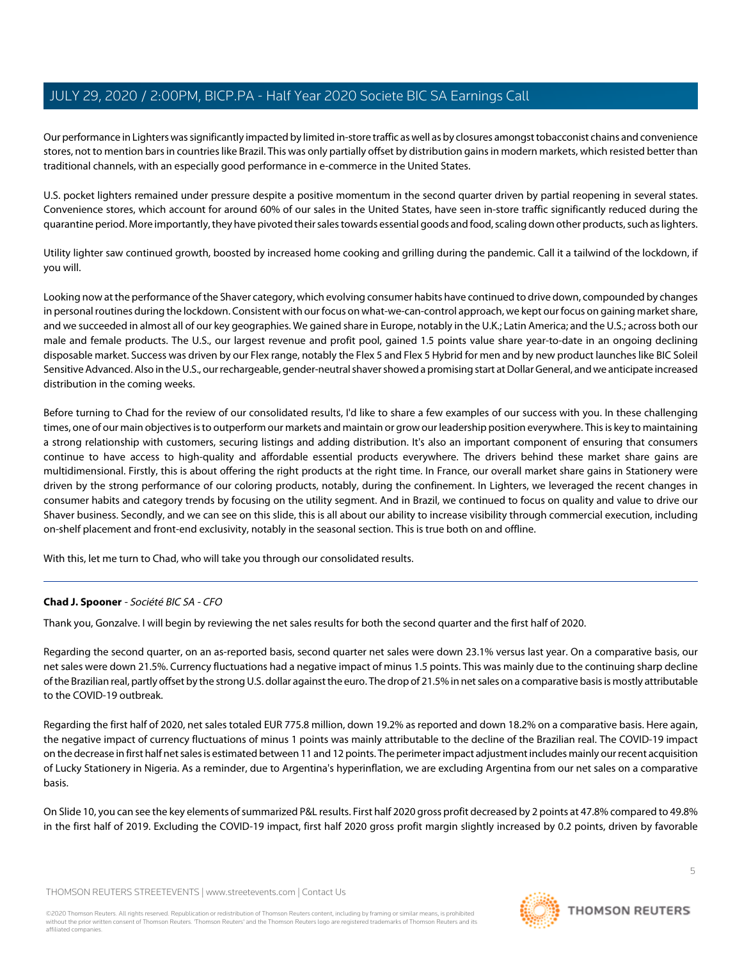Our performance in Lighters was significantly impacted by limited in-store traffic as well as by closures amongst tobacconist chains and convenience stores, not to mention bars in countries like Brazil. This was only partially offset by distribution gains in modern markets, which resisted better than traditional channels, with an especially good performance in e-commerce in the United States.

U.S. pocket lighters remained under pressure despite a positive momentum in the second quarter driven by partial reopening in several states. Convenience stores, which account for around 60% of our sales in the United States, have seen in-store traffic significantly reduced during the quarantine period. More importantly, they have pivoted their sales towards essential goods and food, scaling down other products, such as lighters.

Utility lighter saw continued growth, boosted by increased home cooking and grilling during the pandemic. Call it a tailwind of the lockdown, if you will.

Looking now at the performance of the Shaver category, which evolving consumer habits have continued to drive down, compounded by changes in personal routines during the lockdown. Consistent with our focus on what-we-can-control approach, we kept our focus on gaining market share, and we succeeded in almost all of our key geographies. We gained share in Europe, notably in the U.K.; Latin America; and the U.S.; across both our male and female products. The U.S., our largest revenue and profit pool, gained 1.5 points value share year-to-date in an ongoing declining disposable market. Success was driven by our Flex range, notably the Flex 5 and Flex 5 Hybrid for men and by new product launches like BIC Soleil Sensitive Advanced. Also in the U.S., our rechargeable, gender-neutral shaver showed a promising start at Dollar General, and we anticipate increased distribution in the coming weeks.

Before turning to Chad for the review of our consolidated results, I'd like to share a few examples of our success with you. In these challenging times, one of our main objectives is to outperform our markets and maintain or grow our leadership position everywhere. This is key to maintaining a strong relationship with customers, securing listings and adding distribution. It's also an important component of ensuring that consumers continue to have access to high-quality and affordable essential products everywhere. The drivers behind these market share gains are multidimensional. Firstly, this is about offering the right products at the right time. In France, our overall market share gains in Stationery were driven by the strong performance of our coloring products, notably, during the confinement. In Lighters, we leveraged the recent changes in consumer habits and category trends by focusing on the utility segment. And in Brazil, we continued to focus on quality and value to drive our Shaver business. Secondly, and we can see on this slide, this is all about our ability to increase visibility through commercial execution, including on-shelf placement and front-end exclusivity, notably in the seasonal section. This is true both on and offline.

<span id="page-4-0"></span>With this, let me turn to Chad, who will take you through our consolidated results.

#### **Chad J. Spooner** - Société BIC SA - CFO

Thank you, Gonzalve. I will begin by reviewing the net sales results for both the second quarter and the first half of 2020.

Regarding the second quarter, on an as-reported basis, second quarter net sales were down 23.1% versus last year. On a comparative basis, our net sales were down 21.5%. Currency fluctuations had a negative impact of minus 1.5 points. This was mainly due to the continuing sharp decline of the Brazilian real, partly offset by the strong U.S. dollar against the euro. The drop of 21.5% in net sales on a comparative basis is mostly attributable to the COVID-19 outbreak.

Regarding the first half of 2020, net sales totaled EUR 775.8 million, down 19.2% as reported and down 18.2% on a comparative basis. Here again, the negative impact of currency fluctuations of minus 1 points was mainly attributable to the decline of the Brazilian real. The COVID-19 impact on the decrease in first half net sales is estimated between 11 and 12 points. The perimeter impact adjustment includes mainly our recent acquisition of Lucky Stationery in Nigeria. As a reminder, due to Argentina's hyperinflation, we are excluding Argentina from our net sales on a comparative basis.

On Slide 10, you can see the key elements of summarized P&L results. First half 2020 gross profit decreased by 2 points at 47.8% compared to 49.8% in the first half of 2019. Excluding the COVID-19 impact, first half 2020 gross profit margin slightly increased by 0.2 points, driven by favorable

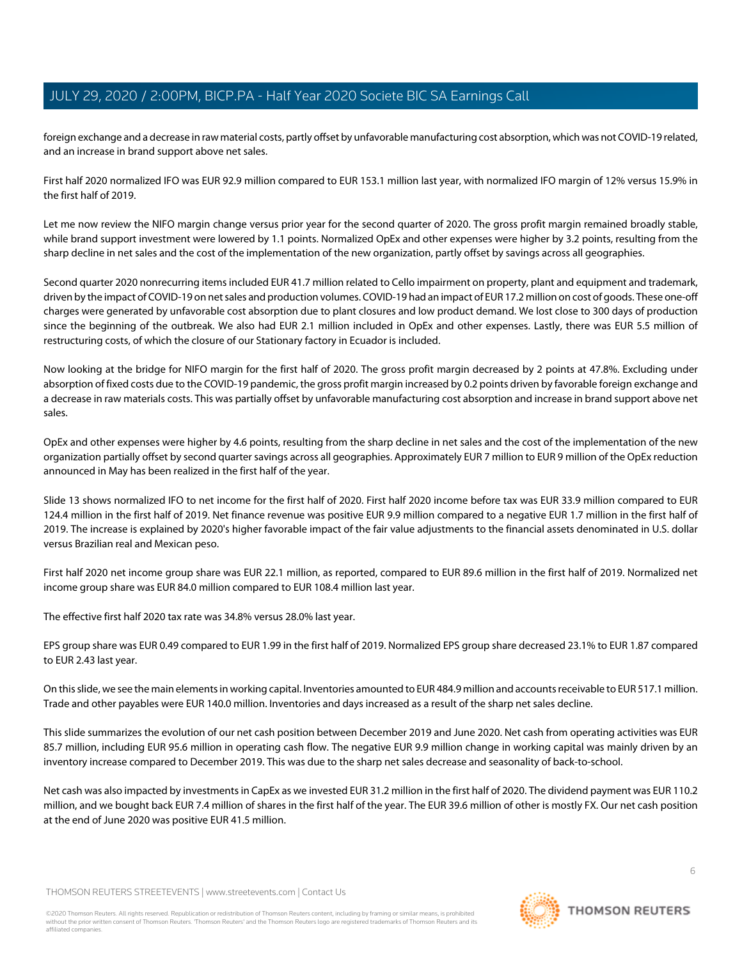foreign exchange and a decrease in raw material costs, partly offset by unfavorable manufacturing cost absorption, which was not COVID-19 related, and an increase in brand support above net sales.

First half 2020 normalized IFO was EUR 92.9 million compared to EUR 153.1 million last year, with normalized IFO margin of 12% versus 15.9% in the first half of 2019.

Let me now review the NIFO margin change versus prior year for the second quarter of 2020. The gross profit margin remained broadly stable, while brand support investment were lowered by 1.1 points. Normalized OpEx and other expenses were higher by 3.2 points, resulting from the sharp decline in net sales and the cost of the implementation of the new organization, partly offset by savings across all geographies.

Second quarter 2020 nonrecurring items included EUR 41.7 million related to Cello impairment on property, plant and equipment and trademark, driven by the impact of COVID-19 on net sales and production volumes. COVID-19 had an impact of EUR 17.2 million on cost of goods. These one-off charges were generated by unfavorable cost absorption due to plant closures and low product demand. We lost close to 300 days of production since the beginning of the outbreak. We also had EUR 2.1 million included in OpEx and other expenses. Lastly, there was EUR 5.5 million of restructuring costs, of which the closure of our Stationary factory in Ecuador is included.

Now looking at the bridge for NIFO margin for the first half of 2020. The gross profit margin decreased by 2 points at 47.8%. Excluding under absorption of fixed costs due to the COVID-19 pandemic, the gross profit margin increased by 0.2 points driven by favorable foreign exchange and a decrease in raw materials costs. This was partially offset by unfavorable manufacturing cost absorption and increase in brand support above net sales.

OpEx and other expenses were higher by 4.6 points, resulting from the sharp decline in net sales and the cost of the implementation of the new organization partially offset by second quarter savings across all geographies. Approximately EUR 7 million to EUR 9 million of the OpEx reduction announced in May has been realized in the first half of the year.

Slide 13 shows normalized IFO to net income for the first half of 2020. First half 2020 income before tax was EUR 33.9 million compared to EUR 124.4 million in the first half of 2019. Net finance revenue was positive EUR 9.9 million compared to a negative EUR 1.7 million in the first half of 2019. The increase is explained by 2020's higher favorable impact of the fair value adjustments to the financial assets denominated in U.S. dollar versus Brazilian real and Mexican peso.

First half 2020 net income group share was EUR 22.1 million, as reported, compared to EUR 89.6 million in the first half of 2019. Normalized net income group share was EUR 84.0 million compared to EUR 108.4 million last year.

The effective first half 2020 tax rate was 34.8% versus 28.0% last year.

EPS group share was EUR 0.49 compared to EUR 1.99 in the first half of 2019. Normalized EPS group share decreased 23.1% to EUR 1.87 compared to EUR 2.43 last year.

On this slide, we see the main elements in working capital. Inventories amounted to EUR 484.9 million and accounts receivable to EUR 517.1 million. Trade and other payables were EUR 140.0 million. Inventories and days increased as a result of the sharp net sales decline.

This slide summarizes the evolution of our net cash position between December 2019 and June 2020. Net cash from operating activities was EUR 85.7 million, including EUR 95.6 million in operating cash flow. The negative EUR 9.9 million change in working capital was mainly driven by an inventory increase compared to December 2019. This was due to the sharp net sales decrease and seasonality of back-to-school.

Net cash was also impacted by investments in CapEx as we invested EUR 31.2 million in the first half of 2020. The dividend payment was EUR 110.2 million, and we bought back EUR 7.4 million of shares in the first half of the year. The EUR 39.6 million of other is mostly FX. Our net cash position at the end of June 2020 was positive EUR 41.5 million.

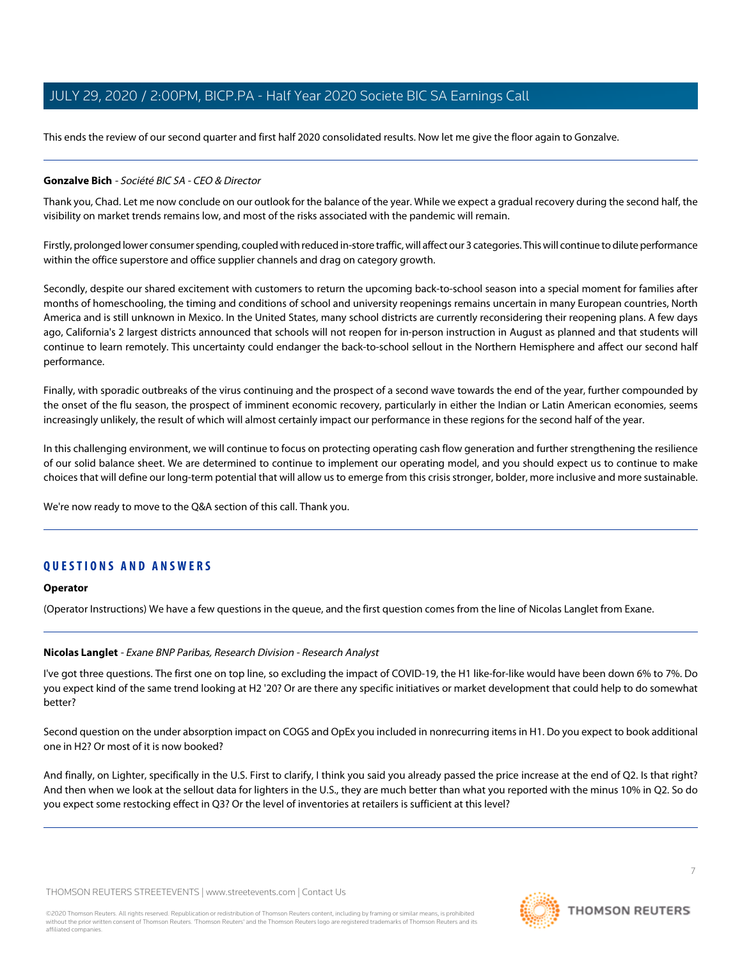This ends the review of our second quarter and first half 2020 consolidated results. Now let me give the floor again to Gonzalve.

#### **Gonzalve Bich** - Société BIC SA - CEO & Director

Thank you, Chad. Let me now conclude on our outlook for the balance of the year. While we expect a gradual recovery during the second half, the visibility on market trends remains low, and most of the risks associated with the pandemic will remain.

Firstly, prolonged lower consumer spending, coupled with reduced in-store traffic, will affect our 3 categories. This will continue to dilute performance within the office superstore and office supplier channels and drag on category growth.

Secondly, despite our shared excitement with customers to return the upcoming back-to-school season into a special moment for families after months of homeschooling, the timing and conditions of school and university reopenings remains uncertain in many European countries, North America and is still unknown in Mexico. In the United States, many school districts are currently reconsidering their reopening plans. A few days ago, California's 2 largest districts announced that schools will not reopen for in-person instruction in August as planned and that students will continue to learn remotely. This uncertainty could endanger the back-to-school sellout in the Northern Hemisphere and affect our second half performance.

Finally, with sporadic outbreaks of the virus continuing and the prospect of a second wave towards the end of the year, further compounded by the onset of the flu season, the prospect of imminent economic recovery, particularly in either the Indian or Latin American economies, seems increasingly unlikely, the result of which will almost certainly impact our performance in these regions for the second half of the year.

In this challenging environment, we will continue to focus on protecting operating cash flow generation and further strengthening the resilience of our solid balance sheet. We are determined to continue to implement our operating model, and you should expect us to continue to make choices that will define our long-term potential that will allow us to emerge from this crisis stronger, bolder, more inclusive and more sustainable.

We're now ready to move to the Q&A section of this call. Thank you.

### **QUESTIONS AND ANSWERS**

#### <span id="page-6-0"></span>**Operator**

(Operator Instructions) We have a few questions in the queue, and the first question comes from the line of Nicolas Langlet from Exane.

#### **Nicolas Langlet** - Exane BNP Paribas, Research Division - Research Analyst

I've got three questions. The first one on top line, so excluding the impact of COVID-19, the H1 like-for-like would have been down 6% to 7%. Do you expect kind of the same trend looking at H2 '20? Or are there any specific initiatives or market development that could help to do somewhat better?

Second question on the under absorption impact on COGS and OpEx you included in nonrecurring items in H1. Do you expect to book additional one in H2? Or most of it is now booked?

And finally, on Lighter, specifically in the U.S. First to clarify, I think you said you already passed the price increase at the end of Q2. Is that right? And then when we look at the sellout data for lighters in the U.S., they are much better than what you reported with the minus 10% in Q2. So do you expect some restocking effect in Q3? Or the level of inventories at retailers is sufficient at this level?

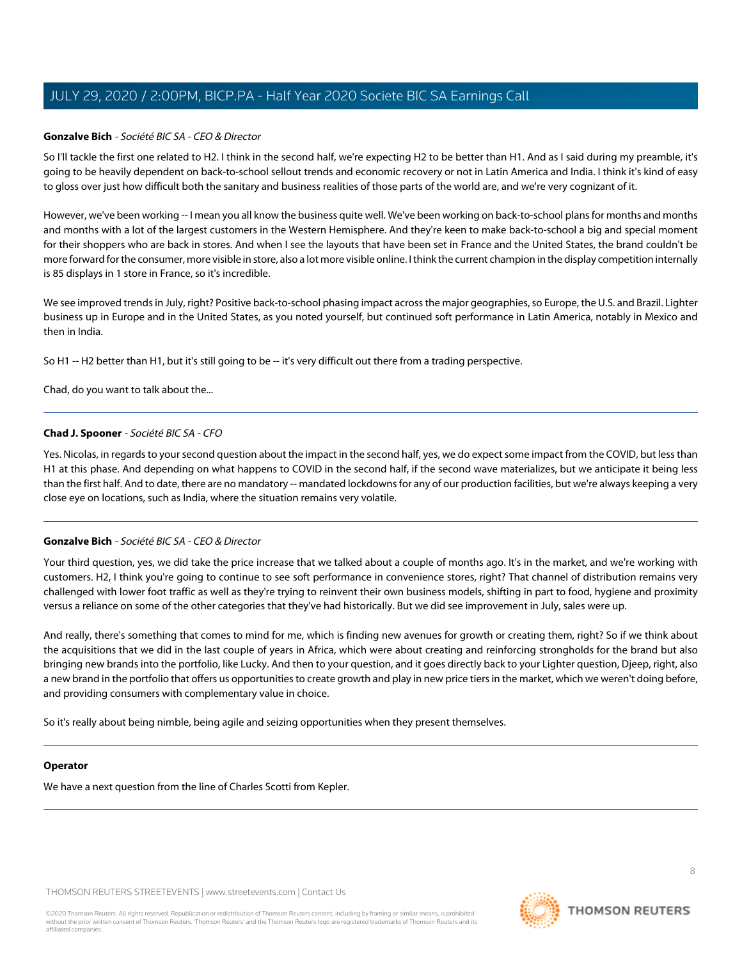#### **Gonzalve Bich** - Société BIC SA - CEO & Director

So I'll tackle the first one related to H2. I think in the second half, we're expecting H2 to be better than H1. And as I said during my preamble, it's going to be heavily dependent on back-to-school sellout trends and economic recovery or not in Latin America and India. I think it's kind of easy to gloss over just how difficult both the sanitary and business realities of those parts of the world are, and we're very cognizant of it.

However, we've been working -- I mean you all know the business quite well. We've been working on back-to-school plans for months and months and months with a lot of the largest customers in the Western Hemisphere. And they're keen to make back-to-school a big and special moment for their shoppers who are back in stores. And when I see the layouts that have been set in France and the United States, the brand couldn't be more forward for the consumer, more visible in store, also a lot more visible online. I think the current champion in the display competition internally is 85 displays in 1 store in France, so it's incredible.

We see improved trends in July, right? Positive back-to-school phasing impact across the major geographies, so Europe, the U.S. and Brazil. Lighter business up in Europe and in the United States, as you noted yourself, but continued soft performance in Latin America, notably in Mexico and then in India.

So H1 -- H2 better than H1, but it's still going to be -- it's very difficult out there from a trading perspective.

Chad, do you want to talk about the...

#### **Chad J. Spooner** - Société BIC SA - CFO

Yes. Nicolas, in regards to your second question about the impact in the second half, yes, we do expect some impact from the COVID, but less than H1 at this phase. And depending on what happens to COVID in the second half, if the second wave materializes, but we anticipate it being less than the first half. And to date, there are no mandatory -- mandated lockdowns for any of our production facilities, but we're always keeping a very close eye on locations, such as India, where the situation remains very volatile.

#### **Gonzalve Bich** - Société BIC SA - CEO & Director

Your third question, yes, we did take the price increase that we talked about a couple of months ago. It's in the market, and we're working with customers. H2, I think you're going to continue to see soft performance in convenience stores, right? That channel of distribution remains very challenged with lower foot traffic as well as they're trying to reinvent their own business models, shifting in part to food, hygiene and proximity versus a reliance on some of the other categories that they've had historically. But we did see improvement in July, sales were up.

And really, there's something that comes to mind for me, which is finding new avenues for growth or creating them, right? So if we think about the acquisitions that we did in the last couple of years in Africa, which were about creating and reinforcing strongholds for the brand but also bringing new brands into the portfolio, like Lucky. And then to your question, and it goes directly back to your Lighter question, Djeep, right, also a new brand in the portfolio that offers us opportunities to create growth and play in new price tiers in the market, which we weren't doing before, and providing consumers with complementary value in choice.

So it's really about being nimble, being agile and seizing opportunities when they present themselves.

#### **Operator**

We have a next question from the line of Charles Scotti from Kepler.

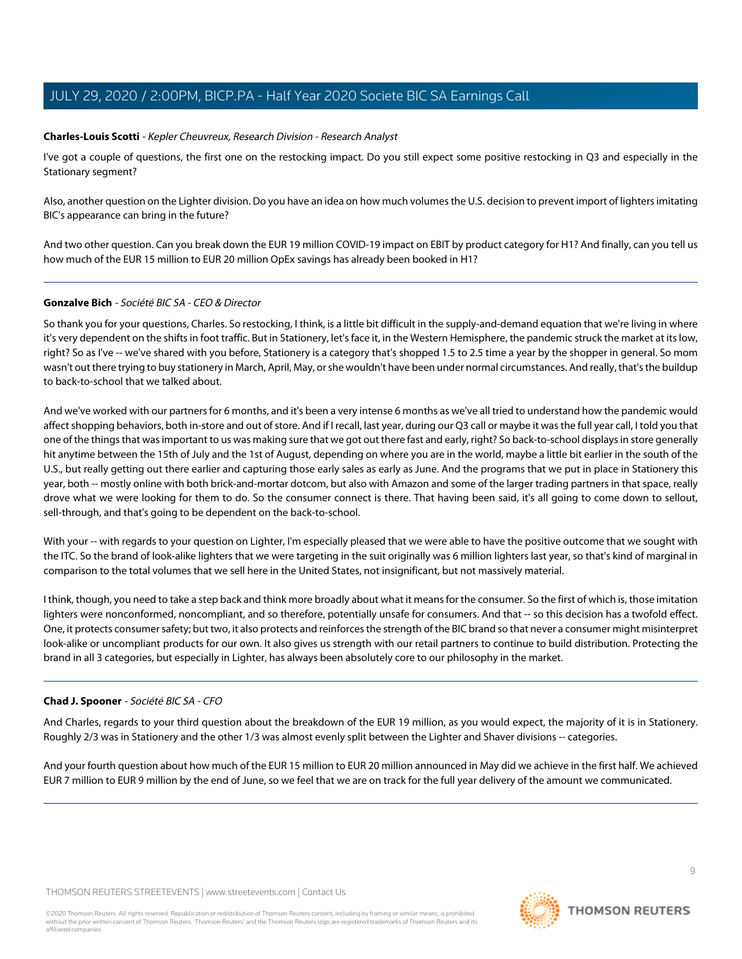#### <span id="page-8-0"></span>**Charles-Louis Scotti** - Kepler Cheuvreux, Research Division - Research Analyst

I've got a couple of questions, the first one on the restocking impact. Do you still expect some positive restocking in Q3 and especially in the Stationary segment?

Also, another question on the Lighter division. Do you have an idea on how much volumes the U.S. decision to prevent import of lighters imitating BIC's appearance can bring in the future?

And two other question. Can you break down the EUR 19 million COVID-19 impact on EBIT by product category for H1? And finally, can you tell us how much of the EUR 15 million to EUR 20 million OpEx savings has already been booked in H1?

#### **Gonzalve Bich** - Société BIC SA - CEO & Director

So thank you for your questions, Charles. So restocking, I think, is a little bit difficult in the supply-and-demand equation that we're living in where it's very dependent on the shifts in foot traffic. But in Stationery, let's face it, in the Western Hemisphere, the pandemic struck the market at its low, right? So as I've -- we've shared with you before, Stationery is a category that's shopped 1.5 to 2.5 time a year by the shopper in general. So mom wasn't out there trying to buy stationery in March, April, May, or she wouldn't have been under normal circumstances. And really, that's the buildup to back-to-school that we talked about.

And we've worked with our partners for 6 months, and it's been a very intense 6 months as we've all tried to understand how the pandemic would affect shopping behaviors, both in-store and out of store. And if I recall, last year, during our Q3 call or maybe it was the full year call, I told you that one of the things that was important to us was making sure that we got out there fast and early, right? So back-to-school displays in store generally hit anytime between the 15th of July and the 1st of August, depending on where you are in the world, maybe a little bit earlier in the south of the U.S., but really getting out there earlier and capturing those early sales as early as June. And the programs that we put in place in Stationery this year, both -- mostly online with both brick-and-mortar dotcom, but also with Amazon and some of the larger trading partners in that space, really drove what we were looking for them to do. So the consumer connect is there. That having been said, it's all going to come down to sellout, sell-through, and that's going to be dependent on the back-to-school.

With your -- with regards to your question on Lighter, I'm especially pleased that we were able to have the positive outcome that we sought with the ITC. So the brand of look-alike lighters that we were targeting in the suit originally was 6 million lighters last year, so that's kind of marginal in comparison to the total volumes that we sell here in the United States, not insignificant, but not massively material.

I think, though, you need to take a step back and think more broadly about what it means for the consumer. So the first of which is, those imitation lighters were nonconformed, noncompliant, and so therefore, potentially unsafe for consumers. And that -- so this decision has a twofold effect. One, it protects consumer safety; but two, it also protects and reinforces the strength of the BIC brand so that never a consumer might misinterpret look-alike or uncompliant products for our own. It also gives us strength with our retail partners to continue to build distribution. Protecting the brand in all 3 categories, but especially in Lighter, has always been absolutely core to our philosophy in the market.

#### **Chad J. Spooner** - Société BIC SA - CFO

And Charles, regards to your third question about the breakdown of the EUR 19 million, as you would expect, the majority of it is in Stationery. Roughly 2/3 was in Stationery and the other 1/3 was almost evenly split between the Lighter and Shaver divisions -- categories.

And your fourth question about how much of the EUR 15 million to EUR 20 million announced in May did we achieve in the first half. We achieved EUR 7 million to EUR 9 million by the end of June, so we feel that we are on track for the full year delivery of the amount we communicated.

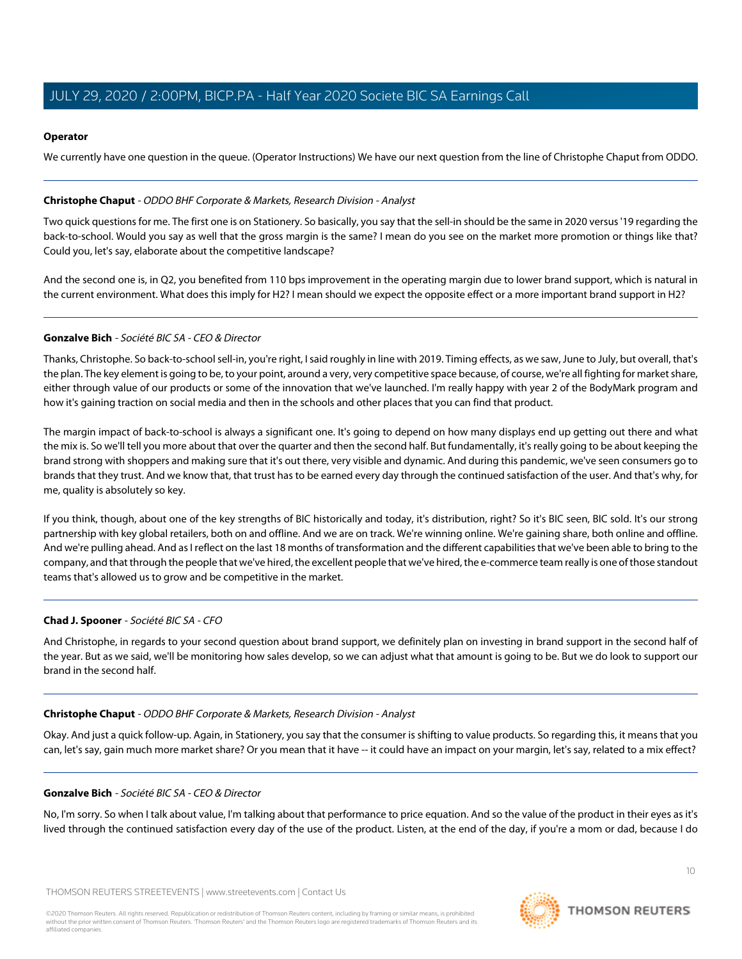#### **Operator**

We currently have one question in the queue. (Operator Instructions) We have our next question from the line of Christophe Chaput from ODDO.

#### <span id="page-9-0"></span>**Christophe Chaput** - ODDO BHF Corporate & Markets, Research Division - Analyst

Two quick questions for me. The first one is on Stationery. So basically, you say that the sell-in should be the same in 2020 versus '19 regarding the back-to-school. Would you say as well that the gross margin is the same? I mean do you see on the market more promotion or things like that? Could you, let's say, elaborate about the competitive landscape?

And the second one is, in Q2, you benefited from 110 bps improvement in the operating margin due to lower brand support, which is natural in the current environment. What does this imply for H2? I mean should we expect the opposite effect or a more important brand support in H2?

#### **Gonzalve Bich** - Société BIC SA - CEO & Director

Thanks, Christophe. So back-to-school sell-in, you're right, I said roughly in line with 2019. Timing effects, as we saw, June to July, but overall, that's the plan. The key element is going to be, to your point, around a very, very competitive space because, of course, we're all fighting for market share, either through value of our products or some of the innovation that we've launched. I'm really happy with year 2 of the BodyMark program and how it's gaining traction on social media and then in the schools and other places that you can find that product.

The margin impact of back-to-school is always a significant one. It's going to depend on how many displays end up getting out there and what the mix is. So we'll tell you more about that over the quarter and then the second half. But fundamentally, it's really going to be about keeping the brand strong with shoppers and making sure that it's out there, very visible and dynamic. And during this pandemic, we've seen consumers go to brands that they trust. And we know that, that trust has to be earned every day through the continued satisfaction of the user. And that's why, for me, quality is absolutely so key.

If you think, though, about one of the key strengths of BIC historically and today, it's distribution, right? So it's BIC seen, BIC sold. It's our strong partnership with key global retailers, both on and offline. And we are on track. We're winning online. We're gaining share, both online and offline. And we're pulling ahead. And as I reflect on the last 18 months of transformation and the different capabilities that we've been able to bring to the company, and that through the people that we've hired, the excellent people that we've hired, the e-commerce team really is one of those standout teams that's allowed us to grow and be competitive in the market.

#### **Chad J. Spooner** - Société BIC SA - CFO

And Christophe, in regards to your second question about brand support, we definitely plan on investing in brand support in the second half of the year. But as we said, we'll be monitoring how sales develop, so we can adjust what that amount is going to be. But we do look to support our brand in the second half.

#### **Christophe Chaput** - ODDO BHF Corporate & Markets, Research Division - Analyst

Okay. And just a quick follow-up. Again, in Stationery, you say that the consumer is shifting to value products. So regarding this, it means that you can, let's say, gain much more market share? Or you mean that it have -- it could have an impact on your margin, let's say, related to a mix effect?

#### **Gonzalve Bich** - Société BIC SA - CEO & Director

No, I'm sorry. So when I talk about value, I'm talking about that performance to price equation. And so the value of the product in their eyes as it's lived through the continued satisfaction every day of the use of the product. Listen, at the end of the day, if you're a mom or dad, because I do

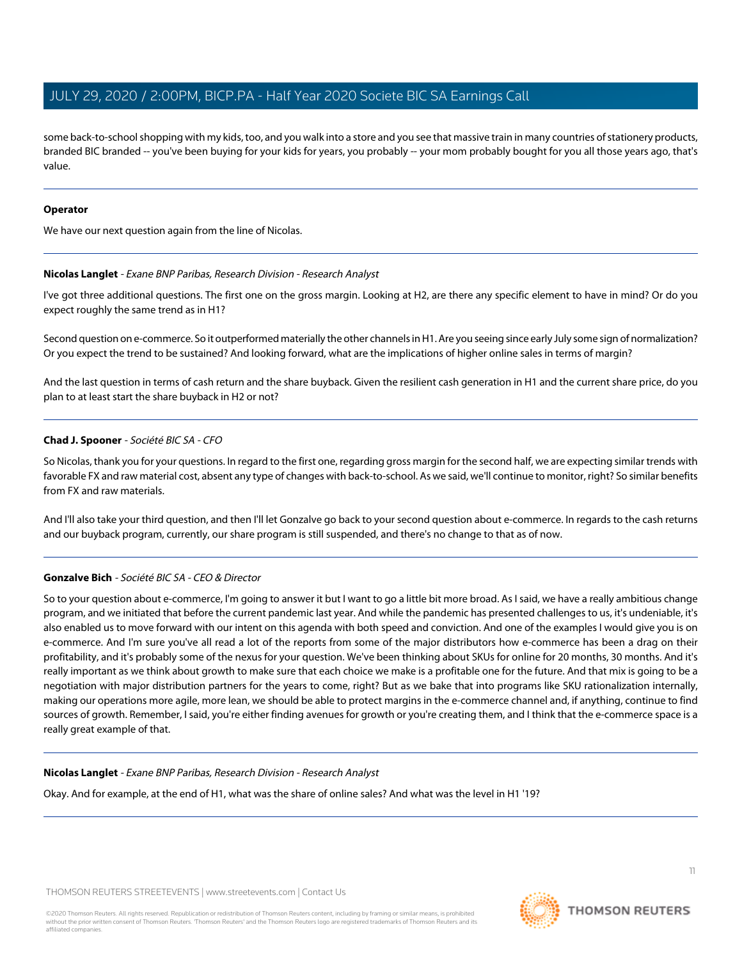some back-to-school shopping with my kids, too, and you walk into a store and you see that massive train in many countries of stationery products, branded BIC branded -- you've been buying for your kids for years, you probably -- your mom probably bought for you all those years ago, that's value.

#### **Operator**

We have our next question again from the line of Nicolas.

#### **Nicolas Langlet** - Exane BNP Paribas, Research Division - Research Analyst

I've got three additional questions. The first one on the gross margin. Looking at H2, are there any specific element to have in mind? Or do you expect roughly the same trend as in H1?

Second question on e-commerce. So it outperformed materially the other channels in H1. Are you seeing since early July some sign of normalization? Or you expect the trend to be sustained? And looking forward, what are the implications of higher online sales in terms of margin?

And the last question in terms of cash return and the share buyback. Given the resilient cash generation in H1 and the current share price, do you plan to at least start the share buyback in H2 or not?

#### **Chad J. Spooner** - Société BIC SA - CFO

So Nicolas, thank you for your questions. In regard to the first one, regarding gross margin for the second half, we are expecting similar trends with favorable FX and raw material cost, absent any type of changes with back-to-school. As we said, we'll continue to monitor, right? So similar benefits from FX and raw materials.

And I'll also take your third question, and then I'll let Gonzalve go back to your second question about e-commerce. In regards to the cash returns and our buyback program, currently, our share program is still suspended, and there's no change to that as of now.

#### **Gonzalve Bich** - Société BIC SA - CEO & Director

So to your question about e-commerce, I'm going to answer it but I want to go a little bit more broad. As I said, we have a really ambitious change program, and we initiated that before the current pandemic last year. And while the pandemic has presented challenges to us, it's undeniable, it's also enabled us to move forward with our intent on this agenda with both speed and conviction. And one of the examples I would give you is on e-commerce. And I'm sure you've all read a lot of the reports from some of the major distributors how e-commerce has been a drag on their profitability, and it's probably some of the nexus for your question. We've been thinking about SKUs for online for 20 months, 30 months. And it's really important as we think about growth to make sure that each choice we make is a profitable one for the future. And that mix is going to be a negotiation with major distribution partners for the years to come, right? But as we bake that into programs like SKU rationalization internally, making our operations more agile, more lean, we should be able to protect margins in the e-commerce channel and, if anything, continue to find sources of growth. Remember, I said, you're either finding avenues for growth or you're creating them, and I think that the e-commerce space is a really great example of that.

#### **Nicolas Langlet** - Exane BNP Paribas, Research Division - Research Analyst

Okay. And for example, at the end of H1, what was the share of online sales? And what was the level in H1 '19?

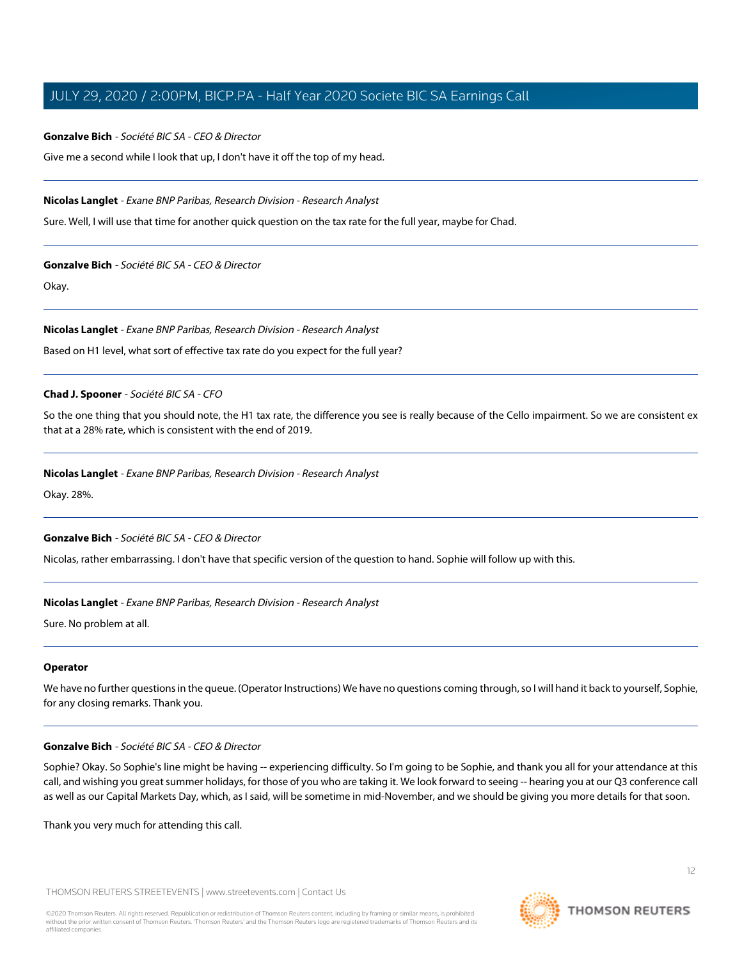#### **Gonzalve Bich** - Société BIC SA - CEO & Director

Give me a second while I look that up, I don't have it off the top of my head.

#### **Nicolas Langlet** - Exane BNP Paribas, Research Division - Research Analyst

Sure. Well, I will use that time for another quick question on the tax rate for the full year, maybe for Chad.

#### **Gonzalve Bich** - Société BIC SA - CEO & Director

Okay.

**Nicolas Langlet** - Exane BNP Paribas, Research Division - Research Analyst

Based on H1 level, what sort of effective tax rate do you expect for the full year?

#### **Chad J. Spooner** - Société BIC SA - CFO

So the one thing that you should note, the H1 tax rate, the difference you see is really because of the Cello impairment. So we are consistent ex that at a 28% rate, which is consistent with the end of 2019.

#### **Nicolas Langlet** - Exane BNP Paribas, Research Division - Research Analyst

Okay. 28%.

#### **Gonzalve Bich** - Société BIC SA - CEO & Director

Nicolas, rather embarrassing. I don't have that specific version of the question to hand. Sophie will follow up with this.

#### **Nicolas Langlet** - Exane BNP Paribas, Research Division - Research Analyst

Sure. No problem at all.

#### **Operator**

We have no further questions in the queue. (Operator Instructions) We have no questions coming through, so I will hand it back to yourself, Sophie, for any closing remarks. Thank you.

#### **Gonzalve Bich** - Société BIC SA - CEO & Director

Sophie? Okay. So Sophie's line might be having -- experiencing difficulty. So I'm going to be Sophie, and thank you all for your attendance at this call, and wishing you great summer holidays, for those of you who are taking it. We look forward to seeing -- hearing you at our Q3 conference call as well as our Capital Markets Day, which, as I said, will be sometime in mid-November, and we should be giving you more details for that soon.

Thank you very much for attending this call.